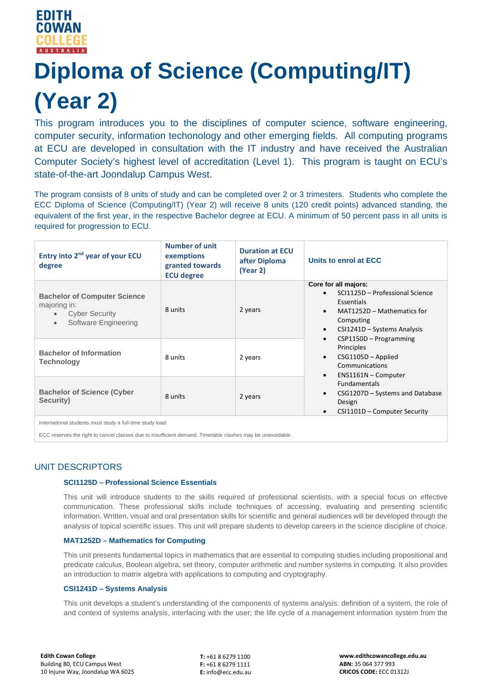

# **Diploma of Science (Computing/IT) (Year 2)**

This program introduces you to the disciplines of computer science, software engineering, computer security, information techonology and other emerging fields. All computing programs at ECU are developed in consultation with the IT industry and have received the Australian Computer Society's highest level of accreditation (Level 1). This program is taught on ECU's state-of-the-art Joondalup Campus West.

The program consists of 8 units of study and can be completed over 2 or 3 trimesters. Students who complete the ECC Diploma of Science (Computing/IT) (Year 2) will receive 8 units (120 credit points) advanced standing, the equivalent of the first year, in the respective Bachelor degree at ECU. A minimum of 50 percent pass in all units is required for progression to ECU.

| Entry into 2 <sup>nd</sup> year of your ECU<br>degree                                                                          | Number of unit<br>exemptions<br>granted towards<br><b>ECU degree</b> | <b>Duration at ECU</b><br>after Diploma<br>(Year 2) | Units to enrol at ECC                                                                                                                                                                                                                                                                                                                                                                                                                                     |
|--------------------------------------------------------------------------------------------------------------------------------|----------------------------------------------------------------------|-----------------------------------------------------|-----------------------------------------------------------------------------------------------------------------------------------------------------------------------------------------------------------------------------------------------------------------------------------------------------------------------------------------------------------------------------------------------------------------------------------------------------------|
| <b>Bachelor of Computer Science</b><br>majoring in:<br><b>Cyber Security</b><br>$\bullet$<br>Software Engineering<br>$\bullet$ | 8 units                                                              | 2 years                                             | Core for all majors:<br>SCI1125D - Professional Science<br>Essentials<br>MAT1252D - Mathematics for<br>$\bullet$<br>Computing<br>CSI1241D - Systems Analysis<br>$\bullet$<br>$CSP1150D - Programming$<br>$\bullet$<br>Principles<br>$CSG1105D - Applied$<br>$\bullet$<br>Communications<br>ENS1161N - Computer<br>$\bullet$<br><b>Fundamentals</b><br>CSG1207D - Systems and Database<br>$\bullet$<br>Design<br>CSI1101D - Computer Security<br>$\bullet$ |
| <b>Bachelor of Information</b><br>Technology                                                                                   | 8 units                                                              | 2 years                                             |                                                                                                                                                                                                                                                                                                                                                                                                                                                           |
| <b>Bachelor of Science (Cyber</b><br>Security)                                                                                 | 8 units                                                              | 2 years                                             |                                                                                                                                                                                                                                                                                                                                                                                                                                                           |
| International students must study a full-time study load.                                                                      |                                                                      |                                                     |                                                                                                                                                                                                                                                                                                                                                                                                                                                           |

ECC reserves the right to cancel classes due to insufficient demand. Timetable clashes may be unavoidable.

# UNIT DESCRIPTORS

# **SCI1125D – Professional Science Essentials**

This unit will introduce students to the skills required of professional scientists, with a special focus on effective communication. These professional skills include techniques of accessing, evaluating and presenting scientific information. Written, visual and oral presentation skills for scientific and general audiences will be developed through the analysis of topical scientific issues. This unit will prepare students to develop careers in the science discipline of choice.

# **MAT1252D – Mathematics for Computing**

This unit presents fundamental topics in mathematics that are essential to computing studies including propositional and predicate calculus, Boolean algebra, set theory, computer arithmetic and number systems in computing. It also provides an introduction to matrix algebra with applications to computing and cryptography.

# **CSI1241D – Systems Analysis**

This unit develops a student's understanding of the components of systems analysis: definition of a system, the role of and context of systems analysis, interfacing with the user; the life cycle of a management information system from the

**T:** +61 8 6279 1100 **F:** +61 8 6279 1111 **E:** info@ecc.edu.au